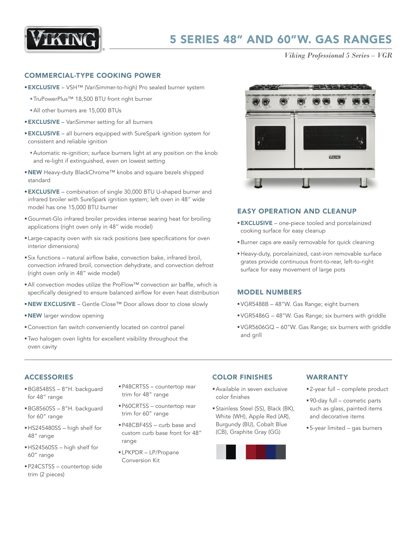

*Viking Professional 5 Series – VGR*

#### COMMERCIAL-TYPE COOKING POWER

- EXCLUSIVE VSH™ (VariSimmer-to-high) Pro sealed burner system
	- §TruPowerPlus™ 18,500 BTU front right burner
	- §All other burners are 15,000 BTUs
- **EXCLUSIVE** VariSimmer setting for all burners
- **EXCLUSIVE** all burners equipped with SureSpark ignition system for consistent and reliable ignition
	- §Automatic re-ignition; surface burners light at any position on the knob and re-light if extinguished, even on lowest setting
- NEW Heavy-duty BlackChrome™ knobs and square bezels shipped standard
- **EXCLUSIVE** combination of single 30,000 BTU U-shaped burner and infrared broiler with SureSpark ignition system; left oven in 48" wide model has one 15,000 BTU burner
- §Gourmet-Glo infrared broiler provides intense searing heat for broiling applications (right oven only in 48" wide model)
- § Large-capacity oven with six rack positions (see specifications for oven interior dimensions)
- Six functions natural airflow bake, convection bake, infrared broil, convection infrared broil, convection dehydrate, and convection defrost (right oven only in 48" wide model)
- All convection modes utilize the ProFlow™ convection air baffle, which is specifically designed to ensure balanced airflow for even heat distribution
- NEW EXCLUSIVE Gentle Close™ Door allows door to close slowly
- **NEW** larger window opening
- Convection fan switch conveniently located on control panel
- §Two halogen oven lights for excellent visibility throughout the oven cavity



#### EASY OPERATION AND CLEANUP

- **EXCLUSIVE** one-piece tooled and porcelainized cooking surface for easy cleanup
- §Burner caps are easily removable for quick cleaning
- §Heavy-duty, porcelainized, cast-iron removable surface grates provide continuous front-to-rear, left-to-right surface for easy movement of large pots

### MODEL NUMBERS

- §VGR5488B 48"W. Gas Range; eight burners
- §VGR5486G 48"W. Gas Range; six burners with griddle
- §VGR5606GQ 60"W. Gas Range; six burners with griddle and grill

## ACCESSORIES

- §BG8548SS 8"H. backguard for 48" range
- §BG8560SS 8"H. backguard for 60" range
- §HS245480SS high shelf for 48" range
- §HS24560SS high shelf for 60" range
- §P24CSTSS countertop side trim (2 pieces)
- §P48CRTSS countertop rear trim for 48" range
- §P60CRTSS countertop rear trim for 60" range
- §P48CBF4SS curb base and custom curb base front for 48" range
- § LPKPDR LP/Propane Conversion Kit

## COLOR FINISHES

- §Available in seven exclusive color finishes
- §Stainless Steel (SS), Black (BK), White (WH), Apple Red (AR), Burgundy (BU), Cobalt Blue (CB), Graphite Gray (GG)



#### WARRANTY

- 2-year full complete product
- §90-day full cosmetic parts such as glass, painted items and decorative items
- §5-year limited gas burners